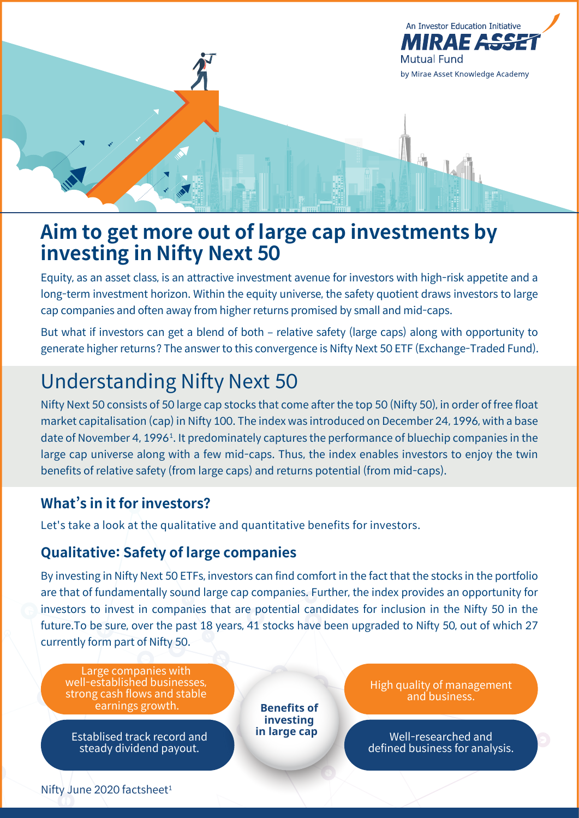

# **Aim to get more out of large cap investments by investing in Nifty Next 50**

Equity, as an asset class, is an attractive investment avenue for investors with high-risk appetite and a long-term investment horizon. Within the equity universe, the safety quotient draws investors to large cap companies and often away from higher returns promised by small and mid-caps.

But what if investors can get a blend of both – relative safety (large caps) along with opportunity to generate higher returns? The answer to this convergence is Nifty Next 50 ETF (Exchange-Traded Fund).

# Understanding Nifty Next 50

Nifty Next 50 consists of 50 large cap stocks that come after the top 50 (Nifty 50), in order of free float market capitalisation (cap) in Nifty 100. The index was introduced on December 24, 1996, with a base date of November 4, 1996<sup>1</sup>. It predominately captures the performance of bluechip companies in the large cap universe along with a few mid-caps. Thus, the index enables investors to enjoy the twin benefits of relative safety (from large caps) and returns potential (from mid-caps).

# **What's in it for investors?**

Let's take a look at the qualitative and quantitative benefits for investors.

# **Qualitative: Safety of large companies**

By investing in Nifty Next 50 ETFs, investors can find comfort in the fact that the stocks in the portfolio are that of fundamentally sound large cap companies. Further, the index provides an opportunity for investors to invest in companies that are potential candidates for inclusion in the Nifty 50 in the future.To be sure, over the past 18 years, 41 stocks have been upgraded to Nifty 50, out of which 27 currently form part of Nifty 50.

Large companies with well-established businesses, strong cash flows and stable earnings growth.

Establised track record and steady dividend payout.

**Benefits of investing in large cap** High quality of management and business.

Well-researched and defined business for analysis.

Nifty June 2020 factsheet<sup>1</sup>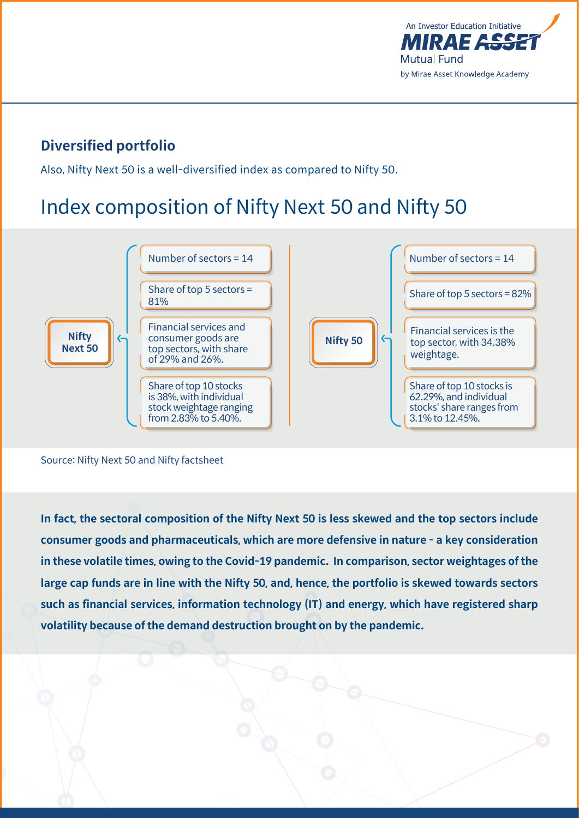

# **Diversified portfolio**

Also, Nifty Next 50 is a well-diversified index as compared to Nifty 50.

# Index composition of Nifty Next 50 and Nifty 50



#### Source: Nifty Next 50 and Nifty factsheet

**In fact, the sectoral composition of the Nifty Next 50 is less skewed and the top sectors include consumer goods and pharmaceuticals, which are more defensive in nature - a key consideration in these volatile times, owing to the Covid-19 pandemic. In comparison, sector weightages of the large cap funds are in line with the Nifty 50, and, hence, the portfolio is skewed towards sectors such as financial services, information technology (IT) and energy, which have registered sharp volatility because of the demand destruction brought on by the pandemic.**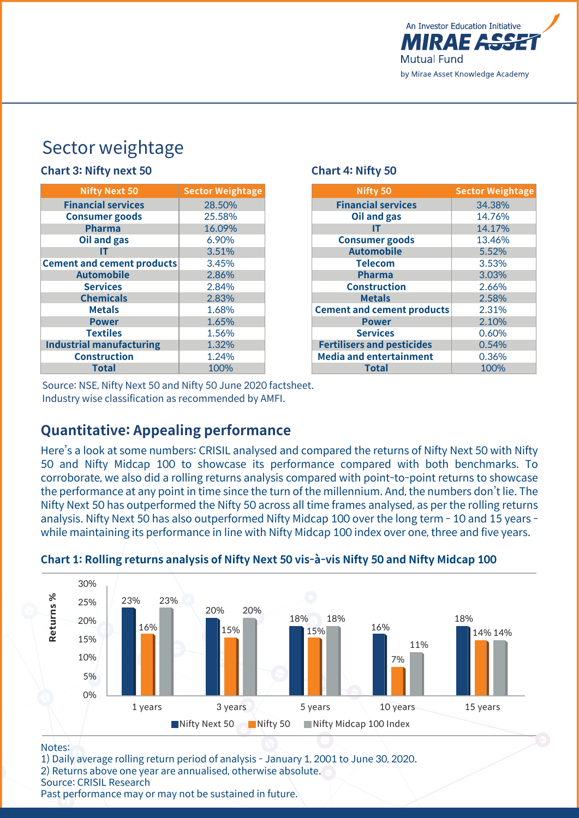

# Sector weightage

### **Chart 3: Nifty next 50 Chart 4: Nifty 50**

| <b>Nifty Next 50</b>              | <b>Sector Weightage</b> |  |  |
|-----------------------------------|-------------------------|--|--|
| <b>Financial services</b>         | 28.50%                  |  |  |
| <b>Consumer goods</b>             | 25.58%                  |  |  |
| <b>Pharma</b>                     | 16.09%                  |  |  |
| <b>Oil and gas</b>                | 6.90%                   |  |  |
| IΤ                                | 3.51%                   |  |  |
| <b>Cement and cement products</b> | 3.45%                   |  |  |
| <b>Automobile</b>                 | 2.86%                   |  |  |
| <b>Services</b>                   | 2.84%                   |  |  |
| <b>Chemicals</b>                  | 2.83%                   |  |  |
| <b>Metals</b>                     | 1.68%                   |  |  |
| <b>Power</b>                      | 1.65%                   |  |  |
| <b>Textiles</b>                   | 1.56%                   |  |  |
| <b>Industrial manufacturing</b>   | 1.32%                   |  |  |
| <b>Construction</b>               | 1.24%                   |  |  |
| <b>Total</b>                      | 100%                    |  |  |

| Nifty 50                          | <b>Sector Weightage</b> |  |  |
|-----------------------------------|-------------------------|--|--|
| <b>Financial services</b>         | 34.38%                  |  |  |
| Oil and gas                       | 14.76%                  |  |  |
| IΤ                                | 14.17%                  |  |  |
| <b>Consumer goods</b>             | 13.46%                  |  |  |
| <b>Automobile</b>                 | 5.52%                   |  |  |
| <b>Telecom</b>                    | 3.53%                   |  |  |
| <b>Pharma</b>                     | 3.03%                   |  |  |
| <b>Construction</b>               | 2.66%                   |  |  |
| <b>Metals</b>                     | 2.58%                   |  |  |
| <b>Cement and cement products</b> | 2.31%                   |  |  |
| <b>Power</b>                      | 2.10%                   |  |  |
| <b>Services</b>                   | 0.60%                   |  |  |
| <b>Fertilisers and pesticides</b> | 0.54%                   |  |  |
| <b>Media and entertainment</b>    | 0.36%                   |  |  |
| <b>Total</b>                      | 100%                    |  |  |

Source: NSE, Nifty Next 50 and Nifty 50 June 2020 factsheet. Industry wise classification as recommended by AMFI.

### **Quantitative: Appealing performance**

Here's a look at some numbers: CRISIL analysed and compared the returns of Nifty Next 50 with Nifty 50 and Nifty Midcap 100 to showcase its performance compared with both benchmarks. To corroborate, we also did a rolling returns analysis compared with point-to-point returns to showcase the performance at any point in time since the turn of the millennium. And, the numbers don't lie. The Nifty Next 50 has outperformed the Nifty 50 across all time frames analysed, as per the rolling returns analysis. Nifty Next 50 has also outperformed Nifty Midcap 100 over the long term - 10 and 15 years while maintaining its performance in line with Nifty Midcap 100 index over one, three and five years.



### **Chart 1: Rolling returns analysis of Nifty Next 50 vis-à-vis Nifty 50 and Nifty Midcap 100**

#### Notes:

1) Daily average rolling return period of analysis - January 1, 2001 to June 30, 2020. 2) Returns above one year are annualised, otherwise absolute. Source: CRISIL Research Past performance may or may not be sustained in future.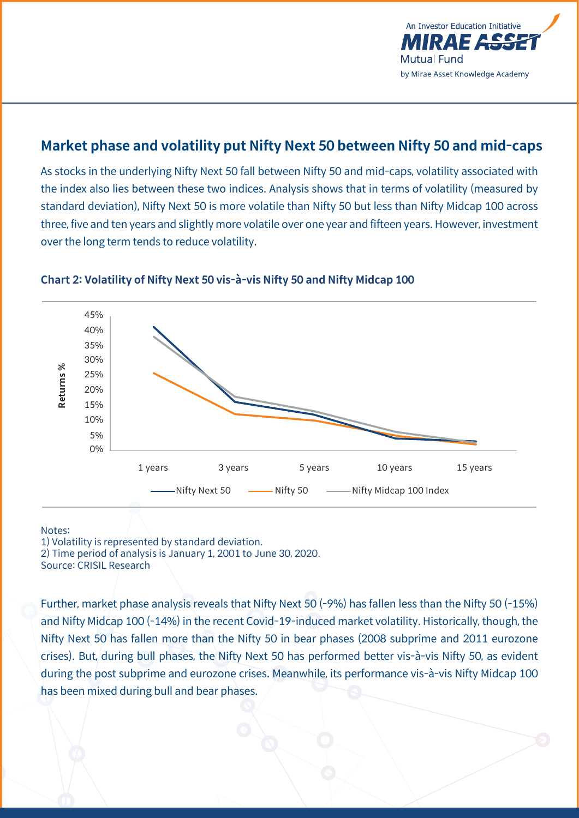

# **Market phase and volatility put Nifty Next 50 between Nifty 50 and mid-caps**

As stocks in the underlying Nifty Next 50 fall between Nifty 50 and mid-caps, volatility associated with the index also lies between these two indices. Analysis shows that in terms of volatility (measured by standard deviation), Nifty Next 50 is more volatile than Nifty 50 but less than Nifty Midcap 100 across three, five and ten years and slightly more volatile over one year and fifteen years. However, investment over the long term tends to reduce volatility.



#### **Chart 2: Volatility of Nifty Next 50 vis-à-vis Nifty 50 and Nifty Midcap 100**

#### Notes:

1) Volatility is represented by standard deviation. 2) Time period of analysis is January 1, 2001 to June 30, 2020. Source: CRISIL Research

Further, market phase analysis reveals that Nifty Next 50 (-9%) has fallen less than the Nifty 50 (-15%) and Nifty Midcap 100 (-14%) in the recent Covid-19-induced market volatility. Historically, though, the Nifty Next 50 has fallen more than the Nifty 50 in bear phases (2008 subprime and 2011 eurozone crises). But, during bull phases, the Nifty Next 50 has performed better vis-à-vis Nifty 50, as evident during the post subprime and eurozone crises. Meanwhile, its performance vis-à-vis Nifty Midcap 100 has been mixed during bull and bear phases.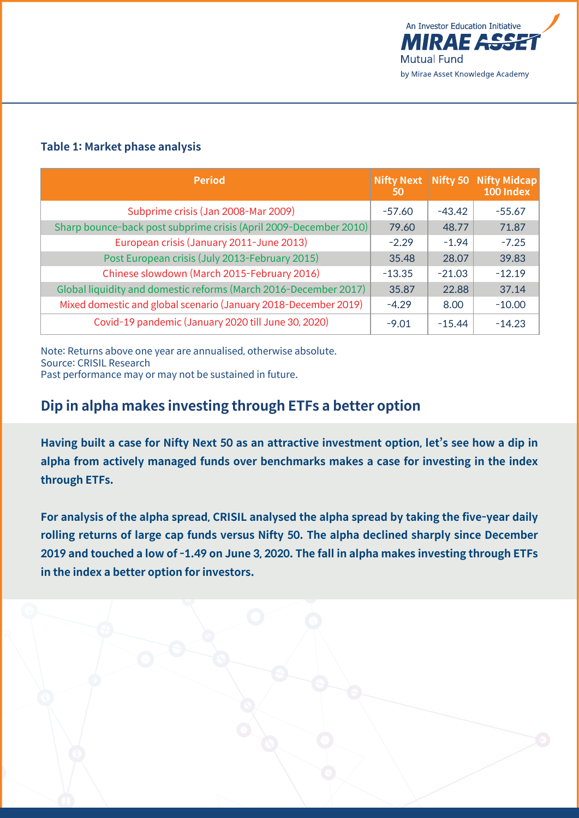

### **Table 1: Market phase analysis**

| <b>Period</b>                                                     | <b>Nifty Next</b><br>50 | Nifty 50 | <b>Nifty Midcap</b><br>100 Index |
|-------------------------------------------------------------------|-------------------------|----------|----------------------------------|
| Subprime crisis (Jan 2008-Mar 2009)                               | $-57.60$                | $-43.42$ | $-55.67$                         |
| Sharp bounce-back post subprime crisis (April 2009-December 2010) | 79.60                   | 48.77    | 71.87                            |
| European crisis (January 2011-June 2013)                          | $-2.29$                 | $-1.94$  | $-7.25$                          |
| Post European crisis (July 2013-February 2015)                    | 35.48                   | 28.07    | 39.83                            |
| Chinese slowdown (March 2015-February 2016)                       | $-13.35$                | $-21.03$ | $-12.19$                         |
| Global liquidity and domestic reforms (March 2016-December 2017)  | 35.87                   | 22.88    | 37.14                            |
| Mixed domestic and global scenario (January 2018-December 2019)   | $-4.29$                 | 8.00     | $-10.00$                         |
| Covid-19 pandemic (January 2020 till June 30, 2020)               | $-9.01$                 | $-15.44$ | $-14.23$                         |

Note: Returns above one year are annualised, otherwise absolute. Source: CRISIL Research

Past performance may or may not be sustained in future.

# **Dip in alpha makes investing through ETFs a better option**

**Having built a case for Nifty Next 50 as an attractive investment option, let's see how a dip in alpha from actively managed funds over benchmarks makes a case for investing in the index through ETFs.** 

**For analysis of the alpha spread, CRISIL analysed the alpha spread by taking the five-year daily rolling returns of large cap funds versus Nifty 50. The alpha declined sharply since December 2019 and touched a low of -1.49 on June 3, 2020. The fall in alpha makes investing through ETFs in the index a better option for investors.**

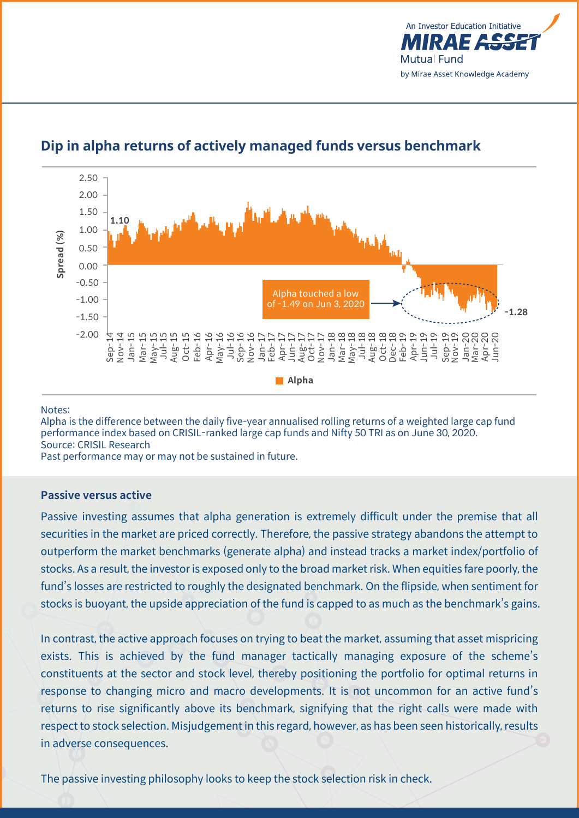



### **Dip in alpha returns of actively managed funds versus benchmark**

#### Notes:

Alpha is the difference between the daily five-year annualised rolling returns of a weighted large cap fund performance index based on CRISIL-ranked large cap funds and Nifty 50 TRI as on June 30, 2020. Source: CRISIL Research

Past performance may or may not be sustained in future.

#### **Passive versus active**

Passive investing assumes that alpha generation is extremely difficult under the premise that all securities in the market are priced correctly. Therefore, the passive strategy abandons the attempt to outperform the market benchmarks (generate alpha) and instead tracks a market index/portfolio of stocks. As a result, the investor is exposed only to the broad market risk. When equities fare poorly, the fund's losses are restricted to roughly the designated benchmark. On the flipside, when sentiment for stocks is buoyant, the upside appreciation of the fund is capped to as much as the benchmark's gains.

In contrast, the active approach focuses on trying to beat the market, assuming that asset mispricing exists. This is achieved by the fund manager tactically managing exposure of the scheme's constituents at the sector and stock level, thereby positioning the portfolio for optimal returns in response to changing micro and macro developments. It is not uncommon for an active fund's returns to rise significantly above its benchmark, signifying that the right calls were made with respect to stock selection. Misjudgement in this regard, however, as has been seen historically, results in adverse consequences.

The passive investing philosophy looks to keep the stock selection risk in check.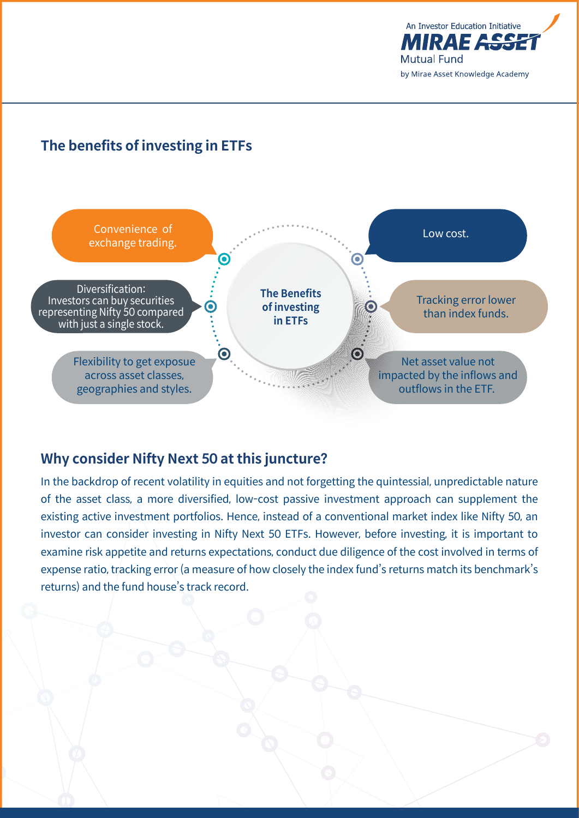

# **The benefits of investing in ETFs**



# **Why consider Nifty Next 50 at this juncture?**

In the backdrop of recent volatility in equities and not forgetting the quintessial, unpredictable nature of the asset class, a more diversified, low-cost passive investment approach can supplement the existing active investment portfolios. Hence, instead of a conventional market index like Nifty 50, an investor can consider investing in Nifty Next 50 ETFs. However, before investing, it is important to examine risk appetite and returns expectations, conduct due diligence of the cost involved in terms of expense ratio, tracking error (a measure of how closely the index fund's returns match its benchmark's returns) and the fund house's track record.